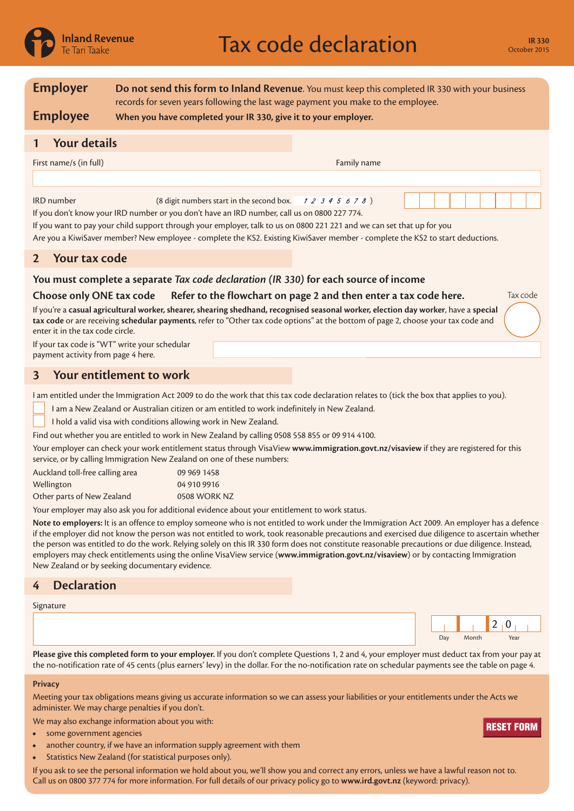

| <b>Employer</b>                                                                                                                                                                                                                                                                                                                                                                                                                                                                                                                                                                                                                                                                                                                                                                                                                                                                                                                                                                                                                                                                                                                                                                                                                                                                                                                                                                                                                                                                                                     | Do not send this form to Inland Revenue. You must keep this completed IR 330 with your business<br>records for seven years following the last wage payment you make to the employee.                                                                                     |  |  |  |
|---------------------------------------------------------------------------------------------------------------------------------------------------------------------------------------------------------------------------------------------------------------------------------------------------------------------------------------------------------------------------------------------------------------------------------------------------------------------------------------------------------------------------------------------------------------------------------------------------------------------------------------------------------------------------------------------------------------------------------------------------------------------------------------------------------------------------------------------------------------------------------------------------------------------------------------------------------------------------------------------------------------------------------------------------------------------------------------------------------------------------------------------------------------------------------------------------------------------------------------------------------------------------------------------------------------------------------------------------------------------------------------------------------------------------------------------------------------------------------------------------------------------|--------------------------------------------------------------------------------------------------------------------------------------------------------------------------------------------------------------------------------------------------------------------------|--|--|--|
| <b>Employee</b>                                                                                                                                                                                                                                                                                                                                                                                                                                                                                                                                                                                                                                                                                                                                                                                                                                                                                                                                                                                                                                                                                                                                                                                                                                                                                                                                                                                                                                                                                                     | When you have completed your IR 330, give it to your employer.                                                                                                                                                                                                           |  |  |  |
| <b>Your details</b>                                                                                                                                                                                                                                                                                                                                                                                                                                                                                                                                                                                                                                                                                                                                                                                                                                                                                                                                                                                                                                                                                                                                                                                                                                                                                                                                                                                                                                                                                                 |                                                                                                                                                                                                                                                                          |  |  |  |
| First name/s (in full)                                                                                                                                                                                                                                                                                                                                                                                                                                                                                                                                                                                                                                                                                                                                                                                                                                                                                                                                                                                                                                                                                                                                                                                                                                                                                                                                                                                                                                                                                              | Family name                                                                                                                                                                                                                                                              |  |  |  |
|                                                                                                                                                                                                                                                                                                                                                                                                                                                                                                                                                                                                                                                                                                                                                                                                                                                                                                                                                                                                                                                                                                                                                                                                                                                                                                                                                                                                                                                                                                                     |                                                                                                                                                                                                                                                                          |  |  |  |
| <b>IRD</b> number<br>(8 digit numbers start in the second box.<br>12345678<br>If you don't know your IRD number or you don't have an IRD number, call us on 0800 227 774.<br>If you want to pay your child support through your employer, talk to us on 0800 221 221 and we can set that up for you<br>Are you a KiwiSaver member? New employee - complete the KS2. Existing KiwiSaver member - complete the KS2 to start deductions.                                                                                                                                                                                                                                                                                                                                                                                                                                                                                                                                                                                                                                                                                                                                                                                                                                                                                                                                                                                                                                                                               |                                                                                                                                                                                                                                                                          |  |  |  |
| Your tax code<br>$\overline{2}$                                                                                                                                                                                                                                                                                                                                                                                                                                                                                                                                                                                                                                                                                                                                                                                                                                                                                                                                                                                                                                                                                                                                                                                                                                                                                                                                                                                                                                                                                     |                                                                                                                                                                                                                                                                          |  |  |  |
| You must complete a separate Tax code declaration (IR 330) for each source of income                                                                                                                                                                                                                                                                                                                                                                                                                                                                                                                                                                                                                                                                                                                                                                                                                                                                                                                                                                                                                                                                                                                                                                                                                                                                                                                                                                                                                                |                                                                                                                                                                                                                                                                          |  |  |  |
| Choose only ONE tax code                                                                                                                                                                                                                                                                                                                                                                                                                                                                                                                                                                                                                                                                                                                                                                                                                                                                                                                                                                                                                                                                                                                                                                                                                                                                                                                                                                                                                                                                                            | Tax code<br>Refer to the flowchart on page 2 and then enter a tax code here.                                                                                                                                                                                             |  |  |  |
| enter it in the tax code circle.<br>If your tax code is "WT" write your schedular<br>payment activity from page 4 here.                                                                                                                                                                                                                                                                                                                                                                                                                                                                                                                                                                                                                                                                                                                                                                                                                                                                                                                                                                                                                                                                                                                                                                                                                                                                                                                                                                                             | If you're a casual agricultural worker, shearer, shearing shedhand, recognised seasonal worker, election day worker, have a special<br>tax code or are receiving schedular payments, refer to "Other tax code options" at the bottom of page 2, choose your tax code and |  |  |  |
| 3                                                                                                                                                                                                                                                                                                                                                                                                                                                                                                                                                                                                                                                                                                                                                                                                                                                                                                                                                                                                                                                                                                                                                                                                                                                                                                                                                                                                                                                                                                                   | Your entitlement to work                                                                                                                                                                                                                                                 |  |  |  |
| I am entitled under the Immigration Act 2009 to do the work that this tax code declaration relates to (tick the box that applies to you).<br>I am a New Zealand or Australian citizen or am entitled to work indefinitely in New Zealand.<br>I hold a valid visa with conditions allowing work in New Zealand.<br>Find out whether you are entitled to work in New Zealand by calling 0508 558 855 or 09 914 4100.<br>Your employer can check your work entitlement status through VisaView www.immigration.govt.nz/visaview if they are registered for this<br>service, or by calling Immigration New Zealand on one of these numbers:<br>Auckland toll-free calling area<br>09 969 1458<br>Wellington<br>04 910 9916<br>Other parts of New Zealand<br>0508 WORK NZ<br>Your employer may also ask you for additional evidence about your entitlement to work status.<br>Note to employers: It is an offence to employ someone who is not entitled to work under the Immigration Act 2009. An employer has a defence<br>if the employer did not know the person was not entitled to work, took reasonable precautions and exercised due diligence to ascertain whether<br>the person was entitled to do the work. Relying solely on this IR 330 form does not constitute reasonable precautions or due diligence. Instead,<br>employers may check entitlements using the online VisaView service (www.immigration.govt.nz/visaview) or by contacting Immigration<br>New Zealand or by seeking documentary evidence. |                                                                                                                                                                                                                                                                          |  |  |  |
| <b>Declaration</b><br>4                                                                                                                                                                                                                                                                                                                                                                                                                                                                                                                                                                                                                                                                                                                                                                                                                                                                                                                                                                                                                                                                                                                                                                                                                                                                                                                                                                                                                                                                                             |                                                                                                                                                                                                                                                                          |  |  |  |
| Signature                                                                                                                                                                                                                                                                                                                                                                                                                                                                                                                                                                                                                                                                                                                                                                                                                                                                                                                                                                                                                                                                                                                                                                                                                                                                                                                                                                                                                                                                                                           | 2 <sub>1</sub><br>$\bf{0}$<br>Day<br>Year<br>Month                                                                                                                                                                                                                       |  |  |  |
| Please give this completed form to your employer. If you don't complete Questions 1, 2 and 4, your employer must deduct tax from your pay at<br>the no-notification rate of 45 cents (plus earners' levy) in the dollar. For the no-notification rate on schedular payments see the table on page 4.                                                                                                                                                                                                                                                                                                                                                                                                                                                                                                                                                                                                                                                                                                                                                                                                                                                                                                                                                                                                                                                                                                                                                                                                                |                                                                                                                                                                                                                                                                          |  |  |  |
| <b>Privacy</b>                                                                                                                                                                                                                                                                                                                                                                                                                                                                                                                                                                                                                                                                                                                                                                                                                                                                                                                                                                                                                                                                                                                                                                                                                                                                                                                                                                                                                                                                                                      |                                                                                                                                                                                                                                                                          |  |  |  |
|                                                                                                                                                                                                                                                                                                                                                                                                                                                                                                                                                                                                                                                                                                                                                                                                                                                                                                                                                                                                                                                                                                                                                                                                                                                                                                                                                                                                                                                                                                                     | Meeting your tax obligations means giving us accurate information so we can assess your liabilities or your entitlements under the Acts we<br>administer. We may charge penalties if you don't.                                                                          |  |  |  |
|                                                                                                                                                                                                                                                                                                                                                                                                                                                                                                                                                                                                                                                                                                                                                                                                                                                                                                                                                                                                                                                                                                                                                                                                                                                                                                                                                                                                                                                                                                                     | We may also exchange information about you with:<br>DECET ENDN                                                                                                                                                                                                           |  |  |  |

- some government agencies
- another country, if we have an information supply agreement with them
- Statistics New Zealand (for statistical purposes only).

If you ask to see the personal information we hold about you, we'll show you and correct any errors, unless we have a lawful reason not to. Call us on 0800 377 774 for more information. For full details of our privacy policy go to **www.ird.govt.nz** (keyword: privacy).<br> **Call us on 0800 377 774 for more information** we hold about you, we'll show you and correct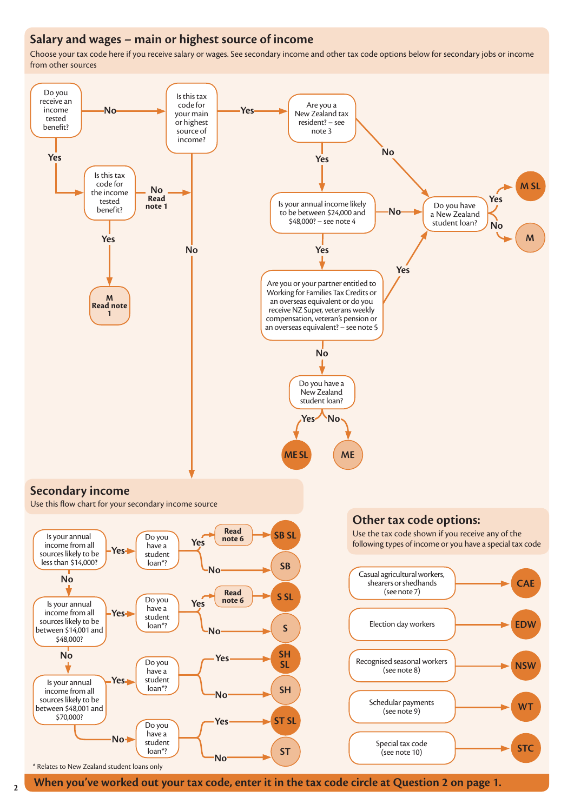## **Salary and wages – main or highest source of income**

Choose your tax code here if you receive salary or wages. See secondary income and other tax code options below for secondary jobs or income from other sources

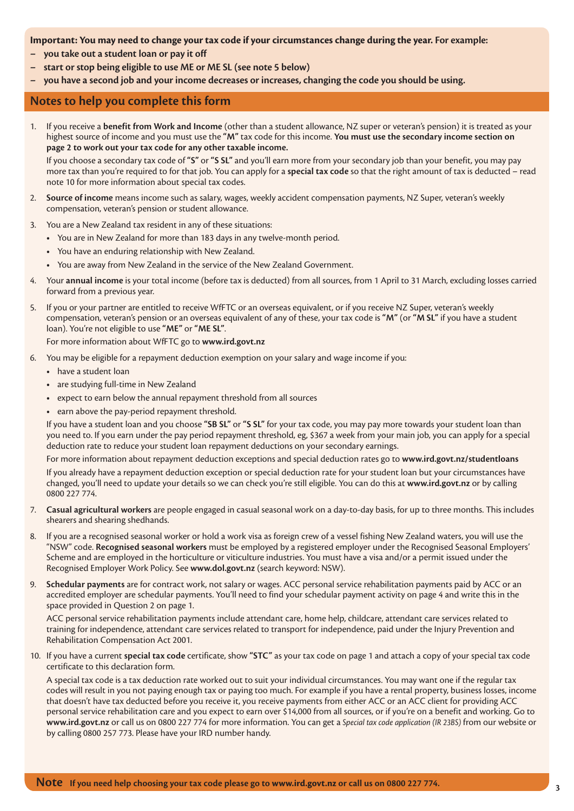## **Important: You may need to change your tax code if your circumstances change during the year. For example:**

- **– you take out a student loan or pay it off**
- **– start or stop being eligible to use ME or ME SL (see note 5 below)**
- **– you have a second job and your income decreases or increases, changing the code you should be using.**

## **Notes to help you complete this form**

1. If you receive a **benefit from Work and Income** (other than a student allowance, NZ super or veteran's pension) it is treated as your highest source of income and you must use the **"M"** tax code for this income. **You must use the secondary income section on page 2 to work out your tax code for any other taxable income.**

If you choose a secondary tax code of **"S"** or **"S SL"** and you'll earn more from your secondary job than your benefit, you may pay more tax than you're required to for that job. You can apply for a **special tax code** so that the right amount of tax is deducted – read note 10 for more information about special tax codes.

- 2. **Source of income** means income such as salary, wages, weekly accident compensation payments, NZ Super, veteran's weekly compensation, veteran's pension or student allowance.
- 3. You are a New Zealand tax resident in any of these situations:
	- **•** You are in New Zealand for more than 183 days in any twelve-month period.
	- **•** You have an enduring relationship with New Zealand.
	- **•** You are away from New Zealand in the service of the New Zealand Government.
- 4. Your **annual income** is your total income (before tax is deducted) from all sources, from 1 April to 31 March, excluding losses carried forward from a previous year.
- 5. If you or your partner are entitled to receive WfFTC or an overseas equivalent, or if you receive NZ Super, veteran's weekly compensation, veteran's pension or an overseas equivalent of any of these, your tax code is **"M"** (or **"M SL"** if you have a student loan). You're not eligible to use **"ME"** or **"ME SL"**.

For more information about WfFTC go to **www.ird.govt.nz**

- 6. You may be eligible for a repayment deduction exemption on your salary and wage income if you:
	- **•** have a student loan
	- **•** are studying full-time in New Zealand
	- **•** expect to earn below the annual repayment threshold from all sources
	- **•** earn above the pay-period repayment threshold.

If you have a student loan and you choose **"SB SL"** or **"S SL"** for your tax code, you may pay more towards your student loan than you need to. If you earn under the pay period repayment threshold, eg, \$367 a week from your main job, you can apply for a special deduction rate to reduce your student loan repayment deductions on your secondary earnings.

For more information about repayment deduction exceptions and special deduction rates go to **www.ird.govt.nz/studentloans**

If you already have a repayment deduction exception or special deduction rate for your student loan but your circumstances have changed, you'll need to update your details so we can check you're still eligible. You can do this at **www.ird.govt.nz** or by calling 0800 227 774.

- 7. **Casual agricultural workers** are people engaged in casual seasonal work on a day-to-day basis, for up to three months. This includes shearers and shearing shedhands.
- 8. If you are a recognised seasonal worker or hold a work visa as foreign crew of a vessel fishing New Zealand waters, you will use the "NSW" code. **Recognised seasonal workers** must be employed by a registered employer under the Recognised Seasonal Employers' Scheme and are employed in the horticulture or viticulture industries. You must have a visa and/or a permit issued under the Recognised Employer Work Policy. See **www.dol.govt.nz** (search keyword: NSW).
- 9. **Schedular payments** are for contract work, not salary or wages. ACC personal service rehabilitation payments paid by ACC or an accredited employer are schedular payments. You'll need to find your schedular payment activity on page 4 and write this in the space provided in Question 2 on page 1.

ACC personal service rehabilitation payments include attendant care, home help, childcare, attendant care services related to training for independence, attendant care services related to transport for independence, paid under the Injury Prevention and Rehabilitation Compensation Act 2001.

10. If you have a current **special tax code** certificate, show **"STC"** as your tax code on page 1 and attach a copy of your special tax code certificate to this declaration form.

A special tax code is a tax deduction rate worked out to suit your individual circumstances. You may want one if the regular tax codes will result in you not paying enough tax or paying too much. For example if you have a rental property, business losses, income that doesn't have tax deducted before you receive it, you receive payments from either ACC or an ACC client for providing ACC personal service rehabilitation care and you expect to earn over \$14,000 from all sources, or if you're on a benefit and working. Go to **www.ird.govt.nz** or call us on 0800 227 774 for more information. You can get a *Special tax code application (IR 23BS)* from our website or by calling 0800 257 773. Please have your IRD number handy.